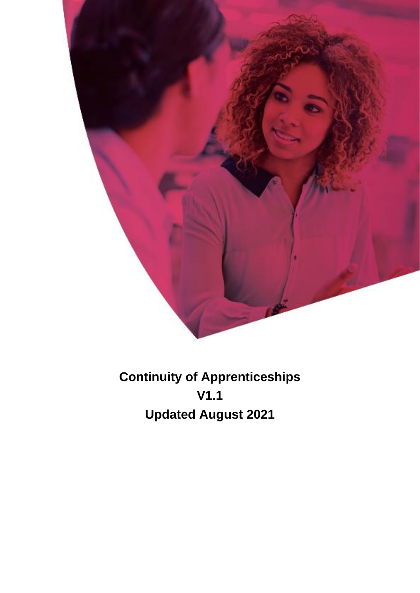

**Continuity of Apprenticeships V1.1 Updated August 2021**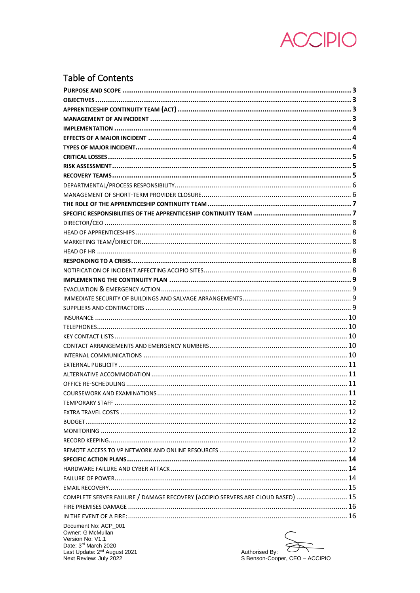

# **Table of Contents**

|                                                                                 | .12 |
|---------------------------------------------------------------------------------|-----|
|                                                                                 |     |
|                                                                                 |     |
|                                                                                 |     |
|                                                                                 |     |
|                                                                                 |     |
|                                                                                 |     |
|                                                                                 |     |
|                                                                                 |     |
|                                                                                 |     |
| COMPLETE SERVER FAILURE / DAMAGE RECOVERY (ACCIPIO SERVERS ARE CLOUD BASED)  15 |     |
|                                                                                 |     |
|                                                                                 |     |
| Document No: ACP 001<br>Owner: G McMullan                                       |     |

Uwrier: G McMullian<br>Version No: V1.1<br>Date: 3<sup>rd</sup> March 2020<br>Last Update: 2<sup>nd</sup> August 2021<br>Next Review: July 2022

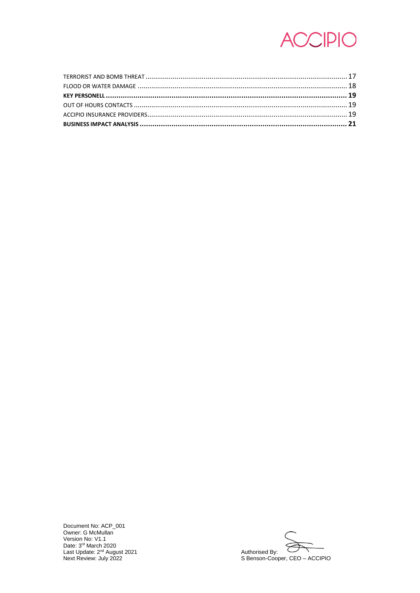

Document No: ACP\_001<br>Owner: G McMullan<br>Version No: V1.1<br>Date: 3<sup>rd</sup> March 2020<br>Last Update: 2<sup>nd</sup> August 2021<br>Next Review: July 2022

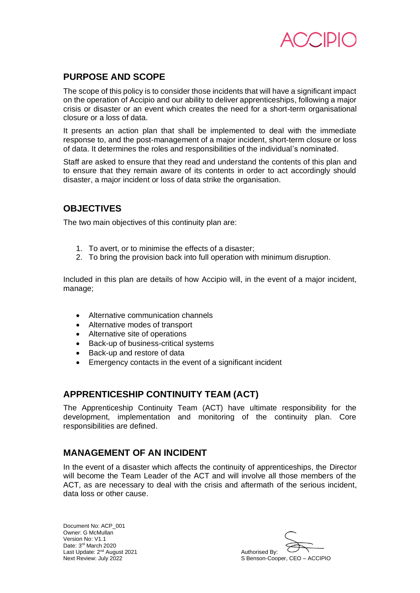

# **PURPOSE AND SCOPE**

The scope of this policy is to consider those incidents that will have a significant impact on the operation of Accipio and our ability to deliver apprenticeships, following a major crisis or disaster or an event which creates the need for a short-term organisational closure or a loss of data.

It presents an action plan that shall be implemented to deal with the immediate response to, and the post-management of a major incident, short-term closure or loss of data. It determines the roles and responsibilities of the individual's nominated.

Staff are asked to ensure that they read and understand the contents of this plan and to ensure that they remain aware of its contents in order to act accordingly should disaster, a major incident or loss of data strike the organisation.

# **OBJECTIVES**

The two main objectives of this continuity plan are:

- 1. To avert, or to minimise the effects of a disaster;
- 2. To bring the provision back into full operation with minimum disruption.

Included in this plan are details of how Accipio will, in the event of a major incident, manage;

- Alternative communication channels
- Alternative modes of transport
- Alternative site of operations
- Back-up of business-critical systems
- Back-up and restore of data
- Emergency contacts in the event of a significant incident

# **APPRENTICESHIP CONTINUITY TEAM (ACT)**

The Apprenticeship Continuity Team (ACT) have ultimate responsibility for the development, implementation and monitoring of the continuity plan. Core responsibilities are defined.

# **MANAGEMENT OF AN INCIDENT**

In the event of a disaster which affects the continuity of apprenticeships, the Director will become the Team Leader of the ACT and will involve all those members of the ACT, as are necessary to deal with the crisis and aftermath of the serious incident, data loss or other cause.

S Benson-Cooper, CEO – ACCIPIO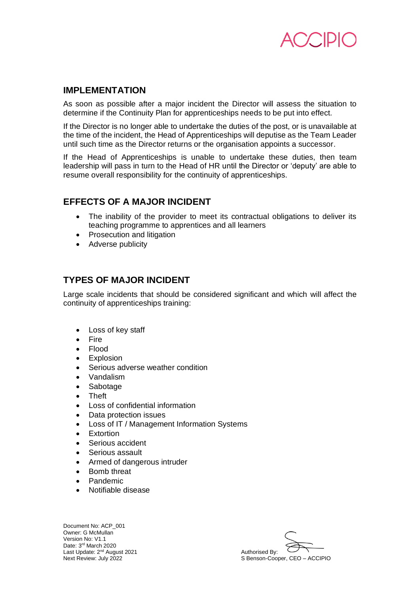

# **IMPLEMENTATION**

As soon as possible after a major incident the Director will assess the situation to determine if the Continuity Plan for apprenticeships needs to be put into effect.

If the Director is no longer able to undertake the duties of the post, or is unavailable at the time of the incident, the Head of Apprenticeships will deputise as the Team Leader until such time as the Director returns or the organisation appoints a successor.

If the Head of Apprenticeships is unable to undertake these duties, then team leadership will pass in turn to the Head of HR until the Director or 'deputy' are able to resume overall responsibility for the continuity of apprenticeships.

# **EFFECTS OF A MAJOR INCIDENT**

- The inability of the provider to meet its contractual obligations to deliver its teaching programme to apprentices and all learners
- Prosecution and litigation
- Adverse publicity

# **TYPES OF MAJOR INCIDENT**

Large scale incidents that should be considered significant and which will affect the continuity of apprenticeships training:

- Loss of key staff
- Fire
- Flood
- Explosion
- Serious adverse weather condition
- Vandalism
- Sabotage
- Theft
- Loss of confidential information
- Data protection issues
- Loss of IT / Management Information Systems
- **Fxtortion**
- Serious accident
- Serious assault
- Armed of dangerous intruder
- Bomb threat
- Pandemic
- Notifiable disease

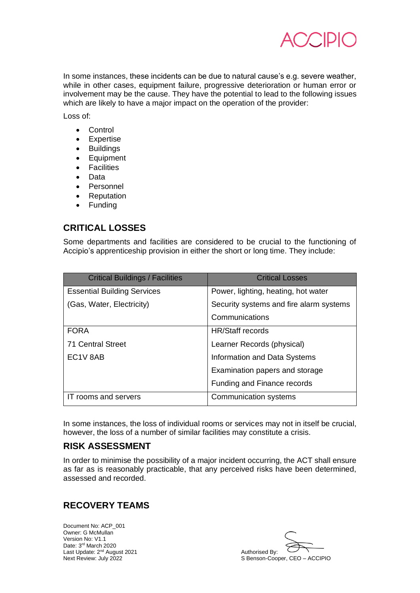

In some instances, these incidents can be due to natural cause's e.g. severe weather, while in other cases, equipment failure, progressive deterioration or human error or involvement may be the cause. They have the potential to lead to the following issues which are likely to have a major impact on the operation of the provider:

Loss of:

- Control
- Expertise
- Buildings
- Equipment
- Facilities
- Data
- Personnel
- Reputation
- Funding

# **CRITICAL LOSSES**

Some departments and facilities are considered to be crucial to the functioning of Accipio's apprenticeship provision in either the short or long time. They include:

| <b>Critical Buildings / Facilities</b> | <b>Critical Losses</b>                  |
|----------------------------------------|-----------------------------------------|
| <b>Essential Building Services</b>     | Power, lighting, heating, hot water     |
| (Gas, Water, Electricity)              | Security systems and fire alarm systems |
|                                        | Communications                          |
| <b>FORA</b>                            | <b>HR/Staff records</b>                 |
| <b>71 Central Street</b>               | Learner Records (physical)              |
| EC1V 8AB                               | Information and Data Systems            |
|                                        | Examination papers and storage          |
|                                        | Funding and Finance records             |
| IT rooms and servers                   | Communication systems                   |

In some instances, the loss of individual rooms or services may not in itself be crucial, however, the loss of a number of similar facilities may constitute a crisis.

# **RISK ASSESSMENT**

In order to minimise the possibility of a major incident occurring, the ACT shall ensure as far as is reasonably practicable, that any perceived risks have been determined, assessed and recorded.

# **RECOVERY TEAMS**

S Benson-Cooper, CEO – ACCIPIO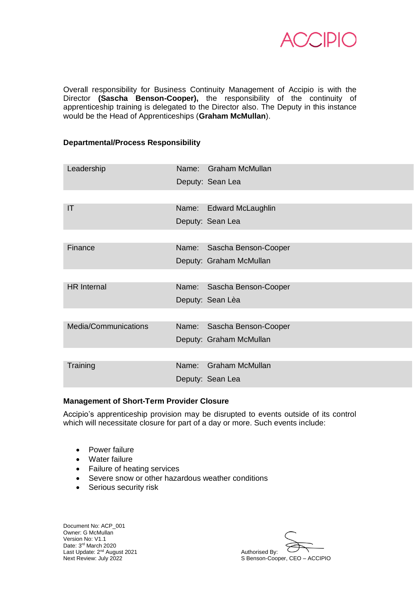

Overall responsibility for Business Continuity Management of Accipio is with the Director **(Sascha Benson-Cooper),** the responsibility of the continuity of apprenticeship training is delegated to the Director also. The Deputy in this instance would be the Head of Apprenticeships (**Graham McMullan**).

### **Departmental/Process Responsibility**

| Leadership           |       | Name: Graham McMullan      |
|----------------------|-------|----------------------------|
|                      |       | Deputy: Sean Lea           |
|                      |       |                            |
| IT                   |       | Name: Edward McLaughlin    |
|                      |       | Deputy: Sean Lea           |
|                      |       |                            |
| Finance              |       | Name: Sascha Benson-Cooper |
|                      |       | Deputy: Graham McMullan    |
|                      |       |                            |
| <b>HR</b> Internal   | Name: | Sascha Benson-Cooper       |
|                      |       | Deputy: Sean Lèa           |
|                      |       |                            |
| Media/Communications | Name: | Sascha Benson-Cooper       |
|                      |       | Deputy: Graham McMullan    |
|                      |       |                            |
| Training             | Name: | <b>Graham McMullan</b>     |
|                      |       | Deputy: Sean Lea           |

#### **Management of Short-Term Provider Closure**

Accipio's apprenticeship provision may be disrupted to events outside of its control which will necessitate closure for part of a day or more. Such events include:

- Power failure
- Water failure
- Failure of heating services
- Severe snow or other hazardous weather conditions
- Serious security risk

Next Reviews: Dy.<br>S Benson-Cooper, CEO – ACCIPIO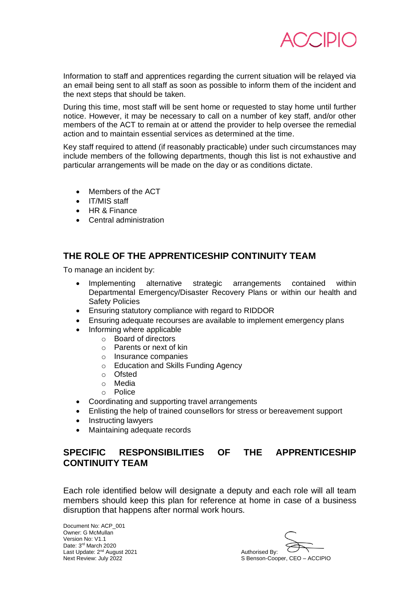

Information to staff and apprentices regarding the current situation will be relayed via an email being sent to all staff as soon as possible to inform them of the incident and the next steps that should be taken.

During this time, most staff will be sent home or requested to stay home until further notice. However, it may be necessary to call on a number of key staff, and/or other members of the ACT to remain at or attend the provider to help oversee the remedial action and to maintain essential services as determined at the time.

Key staff required to attend (if reasonably practicable) under such circumstances may include members of the following departments, though this list is not exhaustive and particular arrangements will be made on the day or as conditions dictate.

- Members of the ACT
- IT/MIS staff
- HR & Finance
- Central administration

# **THE ROLE OF THE APPRENTICESHIP CONTINUITY TEAM**

To manage an incident by:

- Implementing alternative strategic arrangements contained within Departmental Emergency/Disaster Recovery Plans or within our health and Safety Policies
- Ensuring statutory compliance with regard to RIDDOR
- Ensuring adequate recourses are available to implement emergency plans
	- Informing where applicable
		- o Board of directors
			- o Parents or next of kin
			- o Insurance companies
			- o Education and Skills Funding Agency
			- o Ofsted
			- o Media
		- o Police
- Coordinating and supporting travel arrangements
- Enlisting the help of trained counsellors for stress or bereavement support
- Instructing lawyers
- Maintaining adequate records

# **SPECIFIC RESPONSIBILITIES OF THE APPRENTICESHIP CONTINUITY TEAM**

Each role identified below will designate a deputy and each role will all team members should keep this plan for reference at home in case of a business disruption that happens after normal work hours.

S Benson-Cooper, CEO – ACCIPIO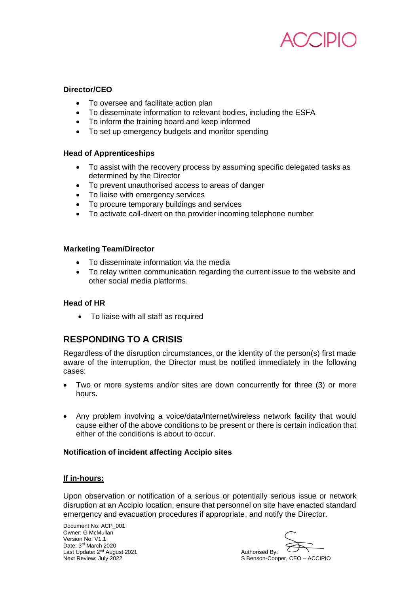

## **Director/CEO**

- To oversee and facilitate action plan
- To disseminate information to relevant bodies, including the ESFA
- To inform the training board and keep informed
- To set up emergency budgets and monitor spending

## **Head of Apprenticeships**

- To assist with the recovery process by assuming specific delegated tasks as determined by the Director
- To prevent unauthorised access to areas of danger
- To liaise with emergency services
- To procure temporary buildings and services
- To activate call-divert on the provider incoming telephone number

### **Marketing Team/Director**

- To disseminate information via the media
- To relay written communication regarding the current issue to the website and other social media platforms.

## **Head of HR**

• To liaise with all staff as required

# **RESPONDING TO A CRISIS**

Regardless of the disruption circumstances, or the identity of the person(s) first made aware of the interruption, the Director must be notified immediately in the following cases:

- Two or more systems and/or sites are down concurrently for three (3) or more hours.
- Any problem involving a voice/data/Internet/wireless network facility that would cause either of the above conditions to be present or there is certain indication that either of the conditions is about to occur.

## **Notification of incident affecting Accipio sites**

## **If in-hours:**

Upon observation or notification of a serious or potentially serious issue or network disruption at an Accipio location, ensure that personnel on site have enacted standard emergency and evacuation procedures if appropriate, and notify the Director.

S Benson-Cooper, CEO – ACCIPIO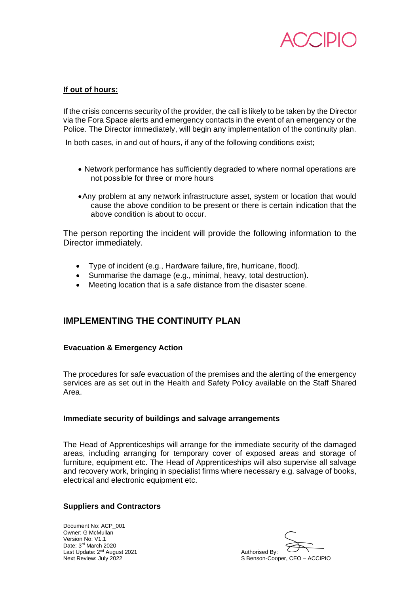

## **If out of hours:**

If the crisis concerns security of the provider, the call is likely to be taken by the Director via the Fora Space alerts and emergency contacts in the event of an emergency or the Police. The Director immediately, will begin any implementation of the continuity plan.

In both cases, in and out of hours, if any of the following conditions exist;

- Network performance has sufficiently degraded to where normal operations are not possible for three or more hours
- •Any problem at any network infrastructure asset, system or location that would cause the above condition to be present or there is certain indication that the above condition is about to occur.

The person reporting the incident will provide the following information to the Director immediately.

- Type of incident (e.g., Hardware failure, fire, hurricane, flood).
- Summarise the damage (e.g., minimal, heavy, total destruction).
- Meeting location that is a safe distance from the disaster scene.

# **IMPLEMENTING THE CONTINUITY PLAN**

## **Evacuation & Emergency Action**

The procedures for safe evacuation of the premises and the alerting of the emergency services are as set out in the Health and Safety Policy available on the Staff Shared Area.

#### **Immediate security of buildings and salvage arrangements**

The Head of Apprenticeships will arrange for the immediate security of the damaged areas, including arranging for temporary cover of exposed areas and storage of furniture, equipment etc. The Head of Apprenticeships will also supervise all salvage and recovery work, bringing in specialist firms where necessary e.g. salvage of books, electrical and electronic equipment etc.

## **Suppliers and Contractors**

S Benson-Cooper, CEO – ACCIPIO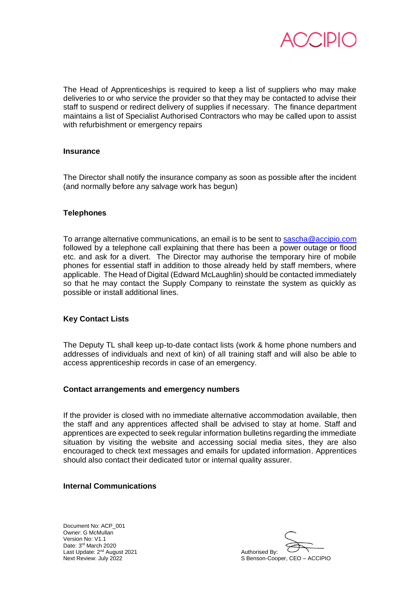

The Head of Apprenticeships is required to keep a list of suppliers who may make deliveries to or who service the provider so that they may be contacted to advise their staff to suspend or redirect delivery of supplies if necessary. The finance department maintains a list of Specialist Authorised Contractors who may be called upon to assist with refurbishment or emergency repairs

#### **Insurance**

The Director shall notify the insurance company as soon as possible after the incident (and normally before any salvage work has begun)

#### **Telephones**

To arrange alternative communications, an email is to be sent to [sascha@accipio.com](mailto:sascha@accipio.com) followed by a telephone call explaining that there has been a power outage or flood etc. and ask for a divert. The Director may authorise the temporary hire of mobile phones for essential staff in addition to those already held by staff members, where applicable. The Head of Digital (Edward McLaughlin) should be contacted immediately so that he may contact the Supply Company to reinstate the system as quickly as possible or install additional lines.

#### **Key Contact Lists**

The Deputy TL shall keep up-to-date contact lists (work & home phone numbers and addresses of individuals and next of kin) of all training staff and will also be able to access apprenticeship records in case of an emergency.

#### **Contact arrangements and emergency numbers**

If the provider is closed with no immediate alternative accommodation available, then the staff and any apprentices affected shall be advised to stay at home. Staff and apprentices are expected to seek regular information bulletins regarding the immediate situation by visiting the website and accessing social media sites, they are also encouraged to check text messages and emails for updated information. Apprentices should also contact their dedicated tutor or internal quality assurer.

#### **Internal Communications**

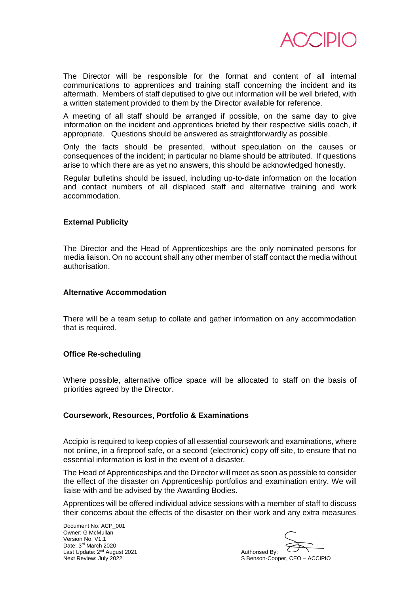

The Director will be responsible for the format and content of all internal communications to apprentices and training staff concerning the incident and its aftermath. Members of staff deputised to give out information will be well briefed, with a written statement provided to them by the Director available for reference.

A meeting of all staff should be arranged if possible, on the same day to give information on the incident and apprentices briefed by their respective skills coach, if appropriate. Questions should be answered as straightforwardly as possible.

Only the facts should be presented, without speculation on the causes or consequences of the incident; in particular no blame should be attributed. If questions arise to which there are as yet no answers, this should be acknowledged honestly.

Regular bulletins should be issued, including up-to-date information on the location and contact numbers of all displaced staff and alternative training and work accommodation.

#### **External Publicity**

The Director and the Head of Apprenticeships are the only nominated persons for media liaison. On no account shall any other member of staff contact the media without authorisation.

#### **Alternative Accommodation**

There will be a team setup to collate and gather information on any accommodation that is required.

#### **Office Re-scheduling**

Where possible, alternative office space will be allocated to staff on the basis of priorities agreed by the Director.

#### **Coursework, Resources, Portfolio & Examinations**

Accipio is required to keep copies of all essential coursework and examinations, where not online, in a fireproof safe, or a second (electronic) copy off site, to ensure that no essential information is lost in the event of a disaster.

The Head of Apprenticeships and the Director will meet as soon as possible to consider the effect of the disaster on Apprenticeship portfolios and examination entry. We will liaise with and be advised by the Awarding Bodies.

Apprentices will be offered individual advice sessions with a member of staff to discuss their concerns about the effects of the disaster on their work and any extra measures

S Benson-Cooper, CEO – ACCIPIO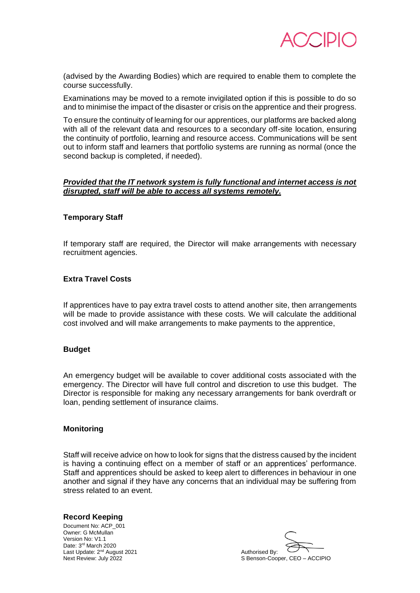

(advised by the Awarding Bodies) which are required to enable them to complete the course successfully.

Examinations may be moved to a remote invigilated option if this is possible to do so and to minimise the impact of the disaster or crisis on the apprentice and their progress.

To ensure the continuity of learning for our apprentices, our platforms are backed along with all of the relevant data and resources to a secondary off-site location, ensuring the continuity of portfolio, learning and resource access. Communications will be sent out to inform staff and learners that portfolio systems are running as normal (once the second backup is completed, if needed).

### *Provided that the IT network system is fully functional and internet access is not disrupted, staff will be able to access all systems remotely.*

#### **Temporary Staff**

If temporary staff are required, the Director will make arrangements with necessary recruitment agencies.

#### **Extra Travel Costs**

If apprentices have to pay extra travel costs to attend another site, then arrangements will be made to provide assistance with these costs. We will calculate the additional cost involved and will make arrangements to make payments to the apprentice,

#### **Budget**

An emergency budget will be available to cover additional costs associated with the emergency. The Director will have full control and discretion to use this budget. The Director is responsible for making any necessary arrangements for bank overdraft or loan, pending settlement of insurance claims.

#### **Monitoring**

Staff will receive advice on how to look for signs that the distress caused by the incident is having a continuing effect on a member of staff or an apprentices' performance. Staff and apprentices should be asked to keep alert to differences in behaviour in one another and signal if they have any concerns that an individual may be suffering from stress related to an event.

#### **Record Keeping**

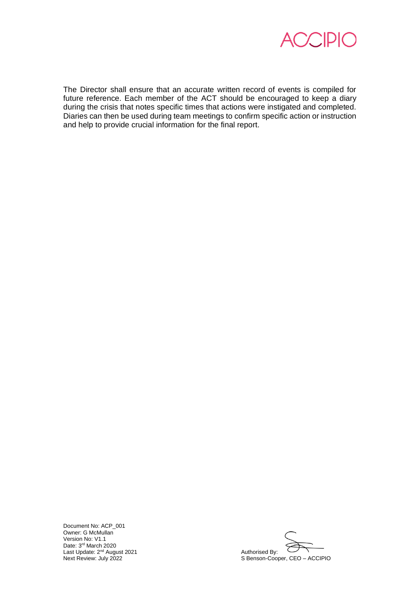

The Director shall ensure that an accurate written record of events is compiled for future reference. Each member of the ACT should be encouraged to keep a diary during the crisis that notes specific times that actions were instigated and completed. Diaries can then be used during team meetings to confirm specific action or instruction and help to provide crucial information for the final report.

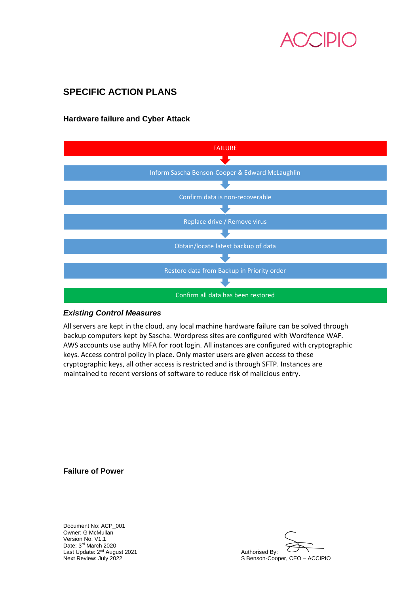# **SPECIFIC ACTION PLANS**

# **Hardware failure and Cyber Attack**



#### *Existing Control Measures*

All servers are kept in the cloud, any local machine hardware failure can be solved through backup computers kept by Sascha. Wordpress sites are configured with Wordfence WAF. AWS accounts use authy MFA for root login. All instances are configured with cryptographic keys. Access control policy in place. Only master users are given access to these cryptographic keys, all other access is restricted and is through SFTP. Instances are maintained to recent versions of software to reduce risk of malicious entry.

**Failure of Power**

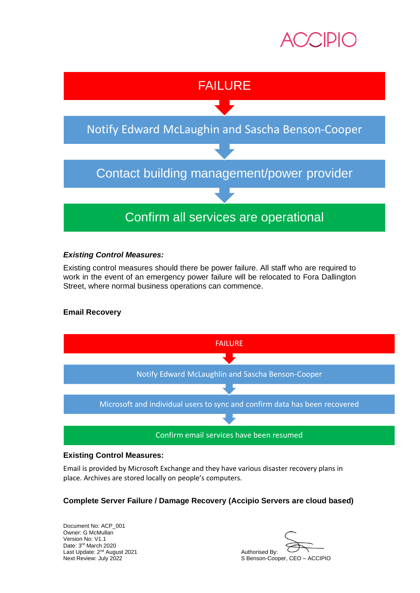



# *Existing Control Measures:*

Existing control measures should there be power failure. All staff who are required to work in the event of an emergency power failure will be relocated to Fora Dallington Street, where normal business operations can commence.

# **Email Recovery**



## **Existing Control Measures:**

Email is provided by Microsoft Exchange and they have various disaster recovery plans in place. Archives are stored locally on people's computers.

# **Complete Server Failure / Damage Recovery (Accipio Servers are cloud based)**

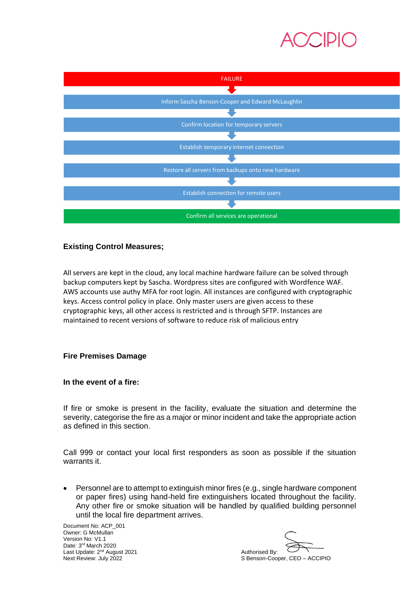



# **Existing Control Measures;**

All servers are kept in the cloud, any local machine hardware failure can be solved through backup computers kept by Sascha. Wordpress sites are configured with Wordfence WAF. AWS accounts use authy MFA for root login. All instances are configured with cryptographic keys. Access control policy in place. Only master users are given access to these cryptographic keys, all other access is restricted and is through SFTP. Instances are maintained to recent versions of software to reduce risk of malicious entry

## **Fire Premises Damage**

## **In the event of a fire:**

If fire or smoke is present in the facility, evaluate the situation and determine the severity, categorise the fire as a major or minor incident and take the appropriate action as defined in this section.

Call 999 or contact your local first responders as soon as possible if the situation warrants it.

• Personnel are to attempt to extinguish minor fires (e.g., single hardware component or paper fires) using hand-held fire extinguishers located throughout the facility. Any other fire or smoke situation will be handled by qualified building personnel until the local fire department arrives.

S Benson-Cooper, CEO – ACCIPIO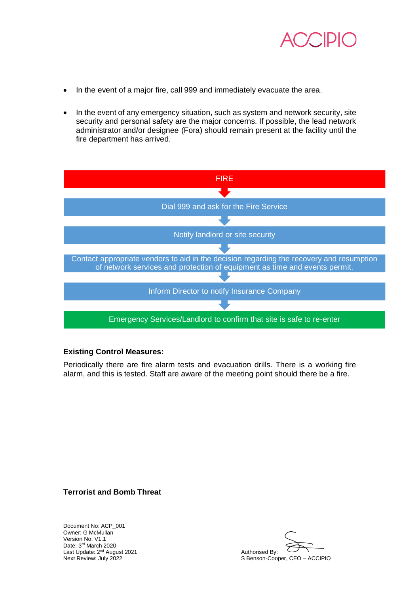

- In the event of a major fire, call 999 and immediately evacuate the area.
- In the event of any emergency situation, such as system and network security, site security and personal safety are the major concerns. If possible, the lead network administrator and/or designee (Fora) should remain present at the facility until the fire department has arrived.



## **Existing Control Measures:**

Periodically there are fire alarm tests and evacuation drills. There is a working fire alarm, and this is tested. Staff are aware of the meeting point should there be a fire.

**Terrorist and Bomb Threat**

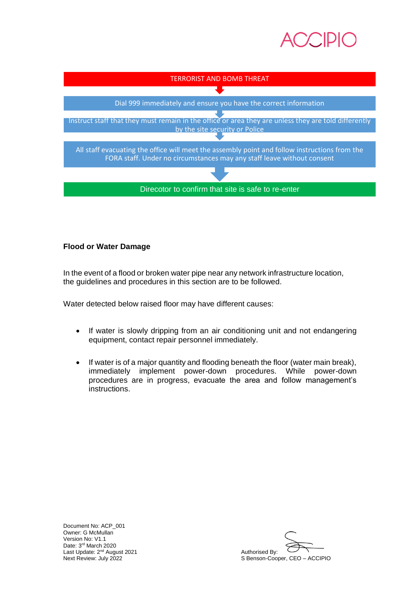



# **Flood or Water Damage**

In the event of a flood or broken water pipe near any network infrastructure location, the guidelines and procedures in this section are to be followed.

Water detected below raised floor may have different causes:

- If water is slowly dripping from an air conditioning unit and not endangering equipment, contact repair personnel immediately.
- If water is of a major quantity and flooding beneath the floor (water main break), immediately implement power-down procedures. While power-down procedures are in progress, evacuate the area and follow management's instructions.

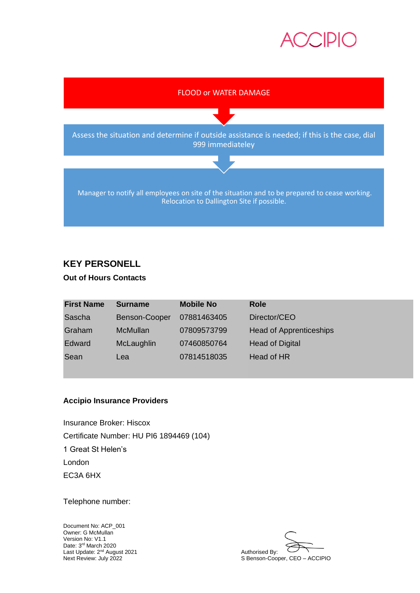



# **KEY PERSONELL**

## **Out of Hours Contacts**

| <b>First Name</b> | <b>Surname</b>  | <b>Mobile No</b> | <b>Role</b>                    |
|-------------------|-----------------|------------------|--------------------------------|
| Sascha            | Benson-Cooper   | 07881463405      | Director/CEO                   |
| Graham            | <b>McMullan</b> | 07809573799      | <b>Head of Apprenticeships</b> |
| Edward            | McLaughlin      | 07460850764      | <b>Head of Digital</b>         |
| Sean              | Lea             | 07814518035      | Head of HR                     |

# **Accipio Insurance Providers**

Insurance Broker: Hiscox Certificate Number: HU PI6 1894469 (104) 1 Great St Helen's London EC3A 6HX

Telephone number:

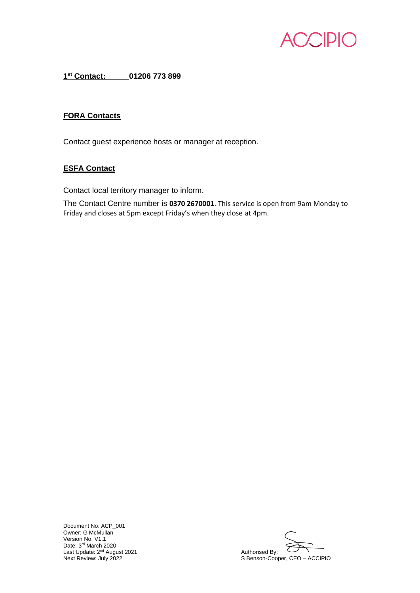

**1 st Contact: [01206 773 899](tel:01206773899)**

## **FORA Contacts**

Contact guest experience hosts or manager at reception.

# **ESFA Contact**

Contact local territory manager to inform.

The Contact Centre number is **0370 2670001**. This service is open from 9am Monday to Friday and closes at 5pm except Friday's when they close at 4pm.

Document No: ACP\_001 Owner: G McMullan Version No: V1.1 Date: 3<sup>rd</sup> March 2020 Last Update: 2<sup>nd</sup> August 2021 **Authorised By:** Authorised By:

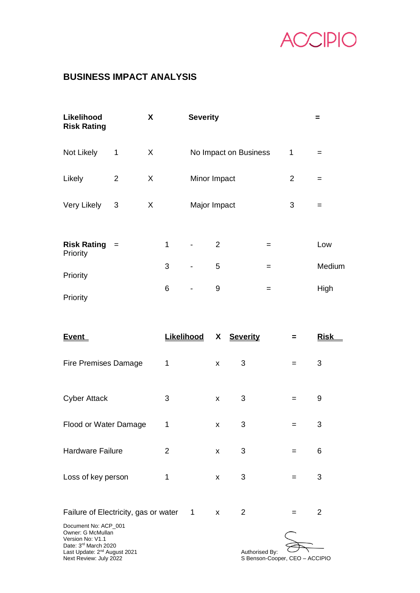

# **BUSINESS IMPACT ANALYSIS**

|                | X |   |                          |   |                                                 |                       | =      |
|----------------|---|---|--------------------------|---|-------------------------------------------------|-----------------------|--------|
| $\mathbf{1}$   | X |   |                          |   |                                                 | 1                     | $=$    |
| $\overline{2}$ | X |   |                          |   |                                                 | $\overline{2}$        | $=$    |
| 3              | X |   |                          |   |                                                 | 3                     | $=$    |
| $=$            |   | 1 | $\overline{\phantom{a}}$ | 2 | $=$                                             |                       | Low    |
|                |   | 3 |                          | 5 | $=$                                             |                       | Medium |
|                |   | 6 | $\overline{\phantom{a}}$ | 9 | $=$                                             |                       | High   |
|                |   |   |                          |   | <b>Severity</b><br>Minor Impact<br>Major Impact | No Impact on Business |        |

| <u>Event</u>                                                                                      | <u>Likelihood</u> | X | <b>Severity</b> | =   | <u>Risk</u> |
|---------------------------------------------------------------------------------------------------|-------------------|---|-----------------|-----|-------------|
| <b>Fire Premises Damage</b>                                                                       | 1                 | X | 3               | $=$ | 3           |
| <b>Cyber Attack</b>                                                                               | 3                 | X | 3               | =   | 9           |
| Flood or Water Damage                                                                             | 1                 | X | 3               | =   | 3           |
| <b>Hardware Failure</b>                                                                           | 2                 | X | 3               | $=$ | 6           |
| Loss of key person                                                                                | 1                 | X | 3               | =   | 3           |
| Failure of Electricity, gas or water                                                              | $\mathbf 1$       | X | 2               | $=$ | 2           |
| Document No: ACP_001<br>Owner: G McMullan<br>Version No: V1.1<br>Date: 3 <sup>rd</sup> March 2020 |                   |   |                 |     |             |

Date: 3<sup>rd</sup> March 2020 Last Update: 2<sup>nd</sup> August 2021 **Authorised By:** Authorised By:

Authorised By:<br>S Benson-Cooper, CEO – ACCIPIO